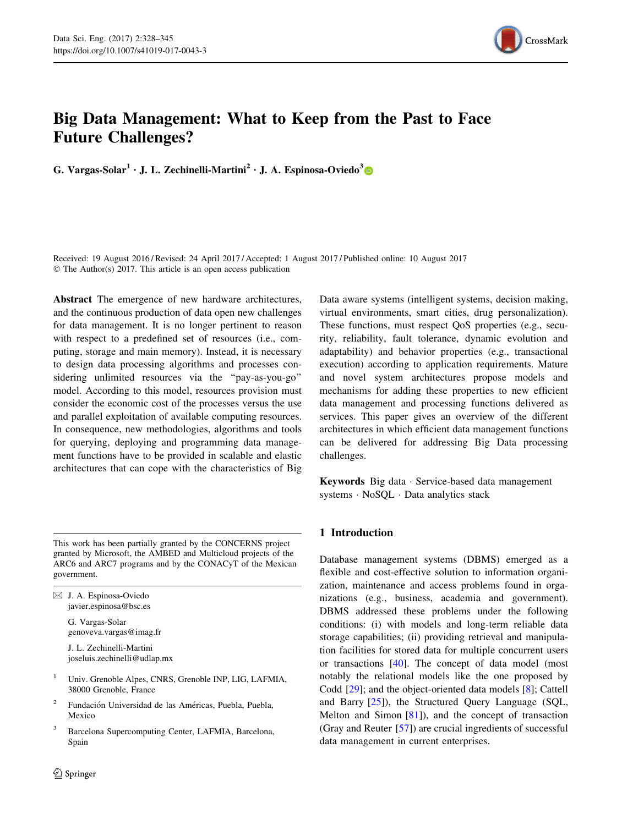

# Big Data Management: What to Keep from the Past to Face Future Challenges?

G. Vargas-Solar<sup>1</sup> • J. L. Zechinelli-Martini<sup>2</sup> • J. A. Espinosa-Oviedo<sup>3</sup>

Received: 19 August 2016 / Revised: 24 April 2017 / Accepted: 1 August 2017 / Published online: 10 August 2017 © The Author(s) 2017. This article is an open access publication

Abstract The emergence of new hardware architectures, and the continuous production of data open new challenges for data management. It is no longer pertinent to reason with respect to a predefined set of resources (i.e., computing, storage and main memory). Instead, it is necessary to design data processing algorithms and processes considering unlimited resources via the ''pay-as-you-go'' model. According to this model, resources provision must consider the economic cost of the processes versus the use and parallel exploitation of available computing resources. In consequence, new methodologies, algorithms and tools for querying, deploying and programming data management functions have to be provided in scalable and elastic architectures that can cope with the characteristics of Big

This work has been partially granted by the CONCERNS project granted by Microsoft, the AMBED and Multicloud projects of the ARC6 and ARC7 programs and by the CONACyT of the Mexican government.

& J. A. Espinosa-Oviedo javier.espinosa@bsc.es

G. Vargas-Solar genoveva.vargas@imag.fr

J. L. Zechinelli-Martini joseluis.zechinelli@udlap.mx

- <sup>1</sup> Univ. Grenoble Alpes, CNRS, Grenoble INP, LIG, LAFMIA, 38000 Grenoble, France
- <sup>2</sup> Fundación Universidad de las Américas, Puebla, Puebla, Mexico
- Barcelona Supercomputing Center, LAFMIA, Barcelona, Spain

Data aware systems (intelligent systems, decision making, virtual environments, smart cities, drug personalization). These functions, must respect QoS properties (e.g., security, reliability, fault tolerance, dynamic evolution and adaptability) and behavior properties (e.g., transactional execution) according to application requirements. Mature and novel system architectures propose models and mechanisms for adding these properties to new efficient data management and processing functions delivered as services. This paper gives an overview of the different architectures in which efficient data management functions can be delivered for addressing Big Data processing challenges.

Keywords Big data - Service-based data management systems - NoSQL - Data analytics stack

## 1 Introduction

Database management systems (DBMS) emerged as a flexible and cost-effective solution to information organization, maintenance and access problems found in organizations (e.g., business, academia and government). DBMS addressed these problems under the following conditions: (i) with models and long-term reliable data storage capabilities; (ii) providing retrieval and manipulation facilities for stored data for multiple concurrent users or transactions [\[40](#page-15-0)]. The concept of data model (most notably the relational models like the one proposed by Codd [\[29](#page-15-0)]; and the object-oriented data models [[8\]](#page-15-0); Cattell and Barry [\[25](#page-15-0)]), the Structured Query Language (SQL, Melton and Simon [[81\]](#page-16-0)), and the concept of transaction (Gray and Reuter [\[57](#page-16-0)]) are crucial ingredients of successful data management in current enterprises.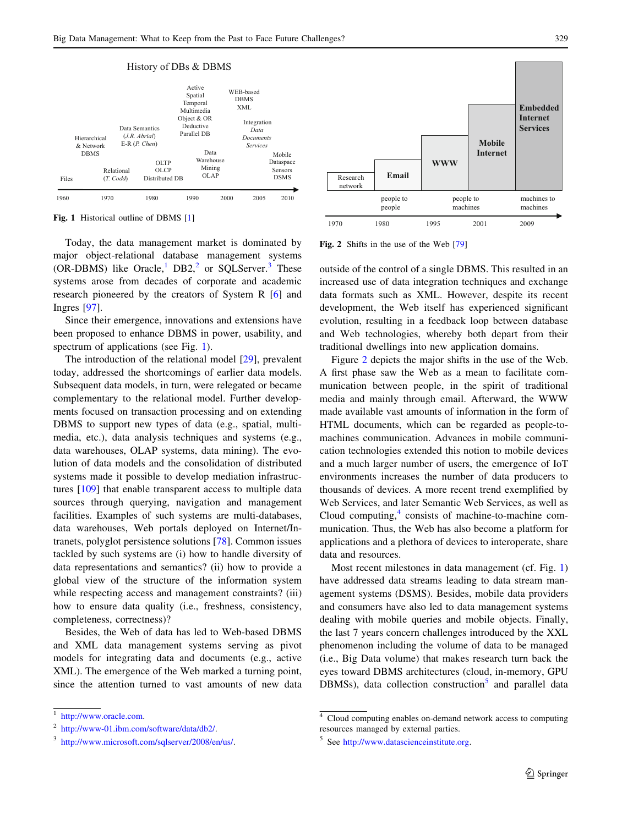

Fig. 1 Historical outline of DBMS [\[1\]](#page-14-0)

Today, the data management market is dominated by major object-relational database management systems (OR-DBMS) like Oracle,  $1 \text{ DB} 2$ ,  $2 \text{ or } \text{SQLServer}$ . These systems arose from decades of corporate and academic research pioneered by the creators of System R [[6\]](#page-14-0) and Ingres [[97\]](#page-17-0).

Since their emergence, innovations and extensions have been proposed to enhance DBMS in power, usability, and spectrum of applications (see Fig. 1).

The introduction of the relational model [[29\]](#page-15-0), prevalent today, addressed the shortcomings of earlier data models. Subsequent data models, in turn, were relegated or became complementary to the relational model. Further developments focused on transaction processing and on extending DBMS to support new types of data (e.g., spatial, multimedia, etc.), data analysis techniques and systems (e.g., data warehouses, OLAP systems, data mining). The evolution of data models and the consolidation of distributed systems made it possible to develop mediation infrastructures [\[109](#page-17-0)] that enable transparent access to multiple data sources through querying, navigation and management facilities. Examples of such systems are multi-databases, data warehouses, Web portals deployed on Internet/Intranets, polyglot persistence solutions [\[78](#page-16-0)]. Common issues tackled by such systems are (i) how to handle diversity of data representations and semantics? (ii) how to provide a global view of the structure of the information system while respecting access and management constraints? (iii) how to ensure data quality (i.e., freshness, consistency, completeness, correctness)?

Besides, the Web of data has led to Web-based DBMS and XML data management systems serving as pivot models for integrating data and documents (e.g., active XML). The emergence of the Web marked a turning point, since the attention turned to vast amounts of new data



Fig. 2 Shifts in the use of the Web [\[79\]](#page-16-0)

outside of the control of a single DBMS. This resulted in an increased use of data integration techniques and exchange data formats such as XML. However, despite its recent development, the Web itself has experienced significant evolution, resulting in a feedback loop between database and Web technologies, whereby both depart from their traditional dwellings into new application domains.

Figure 2 depicts the major shifts in the use of the Web. A first phase saw the Web as a mean to facilitate communication between people, in the spirit of traditional media and mainly through email. Afterward, the WWW made available vast amounts of information in the form of HTML documents, which can be regarded as people-tomachines communication. Advances in mobile communication technologies extended this notion to mobile devices and a much larger number of users, the emergence of IoT environments increases the number of data producers to thousands of devices. A more recent trend exemplified by Web Services, and later Semantic Web Services, as well as Cloud computing, $\frac{4}{3}$  consists of machine-to-machine communication. Thus, the Web has also become a platform for applications and a plethora of devices to interoperate, share data and resources.

Most recent milestones in data management (cf. Fig. 1) have addressed data streams leading to data stream management systems (DSMS). Besides, mobile data providers and consumers have also led to data management systems dealing with mobile queries and mobile objects. Finally, the last 7 years concern challenges introduced by the XXL phenomenon including the volume of data to be managed (i.e., Big Data volume) that makes research turn back the eyes toward DBMS architectures (cloud, in-memory, GPU DBMSs), data collection construction<sup>5</sup> and parallel data

<sup>1</sup> [http://www.oracle.com.](http://www.oracle.com)

<sup>2</sup> <http://www-01.ibm.com/software/data/db2/>.

<sup>3</sup> <http://www.microsoft.com/sqlserver/2008/en/us/>.

<sup>4</sup> Cloud computing enables on-demand network access to computing resources managed by external parties.

<sup>5</sup> See [http://www.datascienceinstitute.org.](http://www.datascienceinstitute.org)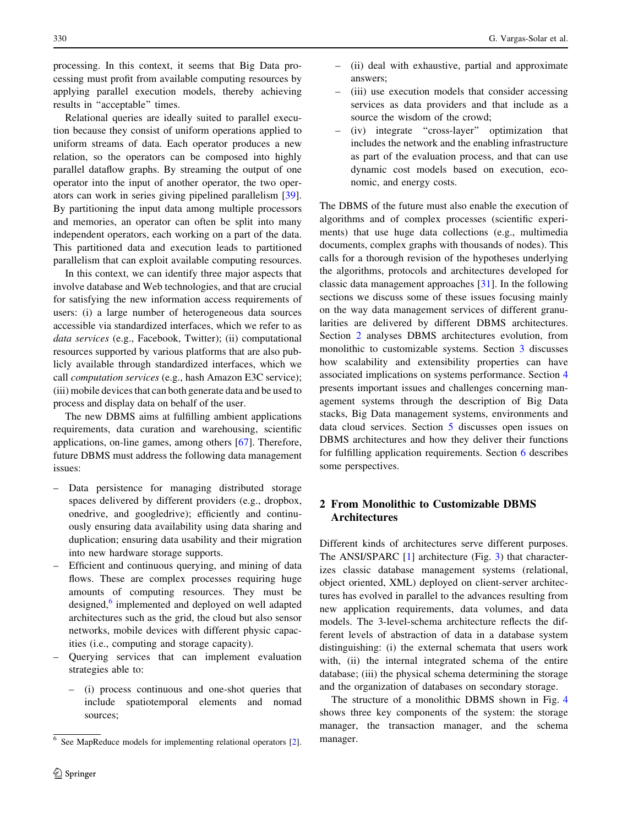processing. In this context, it seems that Big Data processing must profit from available computing resources by applying parallel execution models, thereby achieving results in ''acceptable'' times.

Relational queries are ideally suited to parallel execution because they consist of uniform operations applied to uniform streams of data. Each operator produces a new relation, so the operators can be composed into highly parallel dataflow graphs. By streaming the output of one operator into the input of another operator, the two operators can work in series giving pipelined parallelism [\[39](#page-15-0)]. By partitioning the input data among multiple processors and memories, an operator can often be split into many independent operators, each working on a part of the data. This partitioned data and execution leads to partitioned parallelism that can exploit available computing resources.

In this context, we can identify three major aspects that involve database and Web technologies, and that are crucial for satisfying the new information access requirements of users: (i) a large number of heterogeneous data sources accessible via standardized interfaces, which we refer to as data services (e.g., Facebook, Twitter); (ii) computational resources supported by various platforms that are also publicly available through standardized interfaces, which we call computation services (e.g., hash Amazon E3C service); (iii) mobile devices that can both generate data and be used to process and display data on behalf of the user.

The new DBMS aims at fulfilling ambient applications requirements, data curation and warehousing, scientific applications, on-line games, among others [\[67](#page-16-0)]. Therefore, future DBMS must address the following data management issues:

- Data persistence for managing distributed storage spaces delivered by different providers (e.g., dropbox, onedrive, and googledrive); efficiently and continuously ensuring data availability using data sharing and duplication; ensuring data usability and their migration into new hardware storage supports.
- Efficient and continuous querying, and mining of data flows. These are complex processes requiring huge amounts of computing resources. They must be designed,<sup>6</sup> implemented and deployed on well adapted architectures such as the grid, the cloud but also sensor networks, mobile devices with different physic capacities (i.e., computing and storage capacity).
- Querying services that can implement evaluation strategies able to:
	- (i) process continuous and one-shot queries that include spatiotemporal elements and nomad sources;

2 Springer

- (ii) deal with exhaustive, partial and approximate answers;
- (iii) use execution models that consider accessing services as data providers and that include as a source the wisdom of the crowd;
- (iv) integrate ''cross-layer'' optimization that includes the network and the enabling infrastructure as part of the evaluation process, and that can use dynamic cost models based on execution, economic, and energy costs.

The DBMS of the future must also enable the execution of algorithms and of complex processes (scientific experiments) that use huge data collections (e.g., multimedia documents, complex graphs with thousands of nodes). This calls for a thorough revision of the hypotheses underlying the algorithms, protocols and architectures developed for classic data management approaches [[31](#page-15-0)]. In the following sections we discuss some of these issues focusing mainly on the way data management services of different granularities are delivered by different DBMS architectures. Section 2 analyses DBMS architectures evolution, from monolithic to customizable systems. Section [3](#page-8-0) discusses how scalability and extensibility properties can have associated implications on systems performance. Section [4](#page-11-0) presents important issues and challenges concerning management systems through the description of Big Data stacks, Big Data management systems, environments and data cloud services. Section [5](#page-13-0) discusses open issues on DBMS architectures and how they deliver their functions for fulfilling application requirements. Section [6](#page-14-0) describes some perspectives.

# 2 From Monolithic to Customizable DBMS Architectures

Different kinds of architectures serve different purposes. The ANSI/SPARC [\[1](#page-14-0)] architecture (Fig. [3](#page-3-0)) that characterizes classic database management systems (relational, object oriented, XML) deployed on client-server architectures has evolved in parallel to the advances resulting from new application requirements, data volumes, and data models. The 3-level-schema architecture reflects the different levels of abstraction of data in a database system distinguishing: (i) the external schemata that users work with, (ii) the internal integrated schema of the entire database; (iii) the physical schema determining the storage and the organization of databases on secondary storage.

The structure of a monolithic DBMS shown in Fig. [4](#page-3-0) shows three key components of the system: the storage manager, the transaction manager, and the schema

 $\overline{6}$  See MapReduce models for implementing relational operators [[2](#page-14-0)]. manager.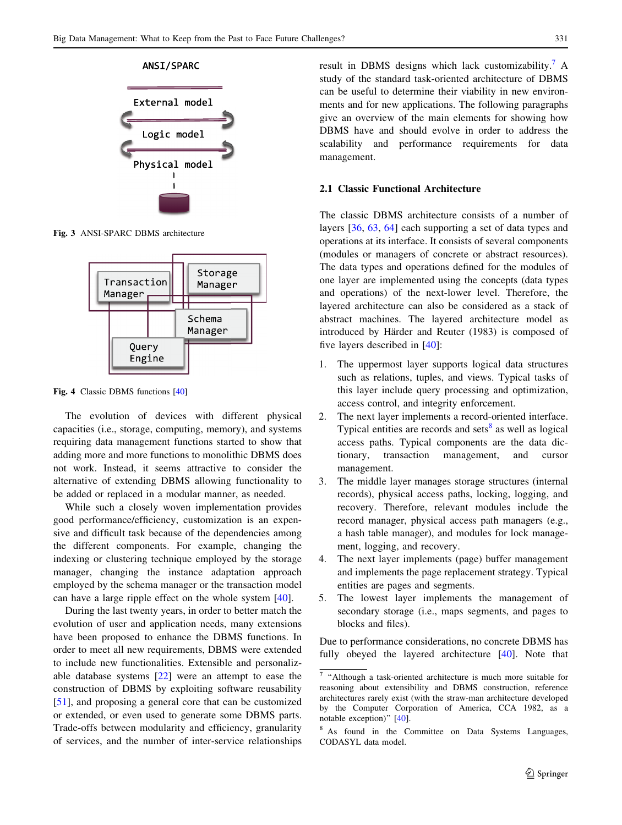<span id="page-3-0"></span>

Fig. 3 ANSI-SPARC DBMS architecture



Fig. 4 Classic DBMS functions [\[40\]](#page-15-0)

The evolution of devices with different physical capacities (i.e., storage, computing, memory), and systems requiring data management functions started to show that adding more and more functions to monolithic DBMS does not work. Instead, it seems attractive to consider the alternative of extending DBMS allowing functionality to be added or replaced in a modular manner, as needed.

While such a closely woven implementation provides good performance/efficiency, customization is an expensive and difficult task because of the dependencies among the different components. For example, changing the indexing or clustering technique employed by the storage manager, changing the instance adaptation approach employed by the schema manager or the transaction model can have a large ripple effect on the whole system [[40\]](#page-15-0).

During the last twenty years, in order to better match the evolution of user and application needs, many extensions have been proposed to enhance the DBMS functions. In order to meet all new requirements, DBMS were extended to include new functionalities. Extensible and personalizable database systems [\[22](#page-15-0)] were an attempt to ease the construction of DBMS by exploiting software reusability [\[51](#page-16-0)], and proposing a general core that can be customized or extended, or even used to generate some DBMS parts. Trade-offs between modularity and efficiency, granularity of services, and the number of inter-service relationships result in DBMS designs which lack customizability.<sup>7</sup> A study of the standard task-oriented architecture of DBMS can be useful to determine their viability in new environments and for new applications. The following paragraphs give an overview of the main elements for showing how DBMS have and should evolve in order to address the scalability and performance requirements for data management.

#### 2.1 Classic Functional Architecture

The classic DBMS architecture consists of a number of layers [[36,](#page-15-0) [63](#page-16-0), [64\]](#page-16-0) each supporting a set of data types and operations at its interface. It consists of several components (modules or managers of concrete or abstract resources). The data types and operations defined for the modules of one layer are implemented using the concepts (data types and operations) of the next-lower level. Therefore, the layered architecture can also be considered as a stack of abstract machines. The layered architecture model as introduced by Härder and Reuter (1983) is composed of five layers described in [[40\]](#page-15-0):

- 1. The uppermost layer supports logical data structures such as relations, tuples, and views. Typical tasks of this layer include query processing and optimization, access control, and integrity enforcement.
- 2. The next layer implements a record-oriented interface. Typical entities are records and sets<sup>8</sup> as well as logical access paths. Typical components are the data dictionary, transaction management, and cursor management.
- 3. The middle layer manages storage structures (internal records), physical access paths, locking, logging, and recovery. Therefore, relevant modules include the record manager, physical access path managers (e.g., a hash table manager), and modules for lock management, logging, and recovery.
- 4. The next layer implements (page) buffer management and implements the page replacement strategy. Typical entities are pages and segments.
- 5. The lowest layer implements the management of secondary storage (i.e., maps segments, and pages to blocks and files).

Due to performance considerations, no concrete DBMS has fully obeyed the layered architecture [\[40](#page-15-0)]. Note that

 $\frac{7}{7}$  "Although a task-oriented architecture is much more suitable for reasoning about extensibility and DBMS construction, reference architectures rarely exist (with the straw-man architecture developed by the Computer Corporation of America, CCA 1982, as a notable exception)'' [\[40\]](#page-15-0).

<sup>&</sup>lt;sup>8</sup> As found in the Committee on Data Systems Languages, CODASYL data model.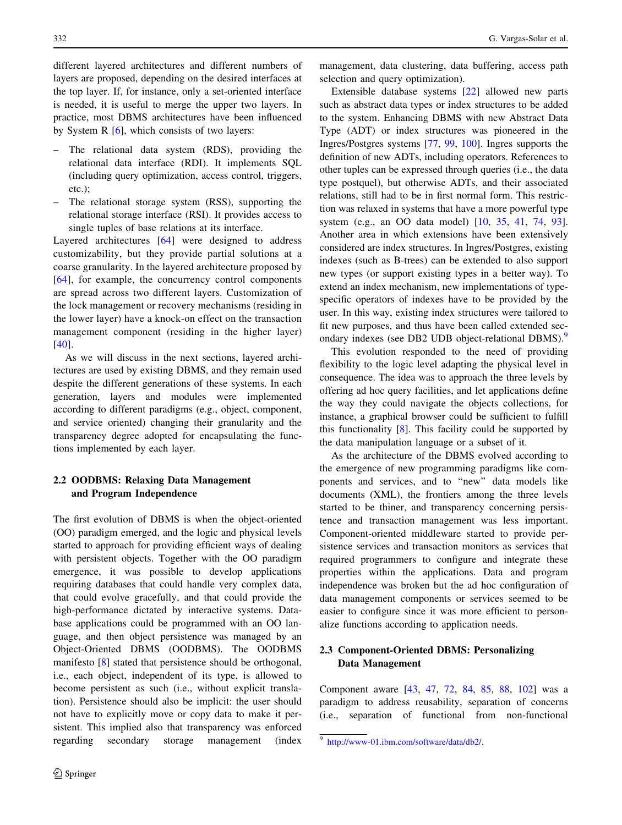different layered architectures and different numbers of layers are proposed, depending on the desired interfaces at the top layer. If, for instance, only a set-oriented interface is needed, it is useful to merge the upper two layers. In practice, most DBMS architectures have been influenced by System R  $[6]$  $[6]$ , which consists of two layers:

- The relational data system (RDS), providing the relational data interface (RDI). It implements SQL (including query optimization, access control, triggers, etc.);
- The relational storage system (RSS), supporting the relational storage interface (RSI). It provides access to single tuples of base relations at its interface.

Layered architectures [[64](#page-16-0)] were designed to address customizability, but they provide partial solutions at a coarse granularity. In the layered architecture proposed by [\[64\]](#page-16-0), for example, the concurrency control components are spread across two different layers. Customization of the lock management or recovery mechanisms (residing in the lower layer) have a knock-on effect on the transaction management component (residing in the higher layer) [\[40\]](#page-15-0).

As we will discuss in the next sections, layered architectures are used by existing DBMS, and they remain used despite the different generations of these systems. In each generation, layers and modules were implemented according to different paradigms (e.g., object, component, and service oriented) changing their granularity and the transparency degree adopted for encapsulating the functions implemented by each layer.

## 2.2 OODBMS: Relaxing Data Management and Program Independence

The first evolution of DBMS is when the object-oriented (OO) paradigm emerged, and the logic and physical levels started to approach for providing efficient ways of dealing with persistent objects. Together with the OO paradigm emergence, it was possible to develop applications requiring databases that could handle very complex data, that could evolve gracefully, and that could provide the high-performance dictated by interactive systems. Database applications could be programmed with an OO language, and then object persistence was managed by an Object-Oriented DBMS (OODBMS). The OODBMS manifesto [[8\]](#page-15-0) stated that persistence should be orthogonal, i.e., each object, independent of its type, is allowed to become persistent as such (i.e., without explicit translation). Persistence should also be implicit: the user should not have to explicitly move or copy data to make it persistent. This implied also that transparency was enforced regarding secondary storage management (index

management, data clustering, data buffering, access path selection and query optimization).

Extensible database systems [\[22](#page-15-0)] allowed new parts such as abstract data types or index structures to be added to the system. Enhancing DBMS with new Abstract Data Type (ADT) or index structures was pioneered in the Ingres/Postgres systems [[77,](#page-16-0) [99,](#page-17-0) [100\]](#page-17-0). Ingres supports the definition of new ADTs, including operators. References to other tuples can be expressed through queries (i.e., the data type postquel), but otherwise ADTs, and their associated relations, still had to be in first normal form. This restriction was relaxed in systems that have a more powerful type system (e.g., an OO data model) [[10,](#page-15-0) [35](#page-15-0), [41](#page-15-0), [74,](#page-16-0) [93](#page-16-0)]. Another area in which extensions have been extensively considered are index structures. In Ingres/Postgres, existing indexes (such as B-trees) can be extended to also support new types (or support existing types in a better way). To extend an index mechanism, new implementations of typespecific operators of indexes have to be provided by the user. In this way, existing index structures were tailored to fit new purposes, and thus have been called extended secondary indexes (see DB2 UDB object-relational DBMS).<sup>9</sup>

This evolution responded to the need of providing flexibility to the logic level adapting the physical level in consequence. The idea was to approach the three levels by offering ad hoc query facilities, and let applications define the way they could navigate the objects collections, for instance, a graphical browser could be sufficient to fulfill this functionality [[8\]](#page-15-0). This facility could be supported by the data manipulation language or a subset of it.

As the architecture of the DBMS evolved according to the emergence of new programming paradigms like components and services, and to ''new'' data models like documents (XML), the frontiers among the three levels started to be thiner, and transparency concerning persistence and transaction management was less important. Component-oriented middleware started to provide persistence services and transaction monitors as services that required programmers to configure and integrate these properties within the applications. Data and program independence was broken but the ad hoc configuration of data management components or services seemed to be easier to configure since it was more efficient to personalize functions according to application needs.

# 2.3 Component-Oriented DBMS: Personalizing Data Management

Component aware [\[43](#page-15-0), [47,](#page-15-0) [72](#page-16-0), [84](#page-16-0), [85,](#page-16-0) [88](#page-16-0), [102\]](#page-17-0) was a paradigm to address reusability, separation of concerns (i.e., separation of functional from non-functional

<sup>9</sup> <http://www-01.ibm.com/software/data/db2/>.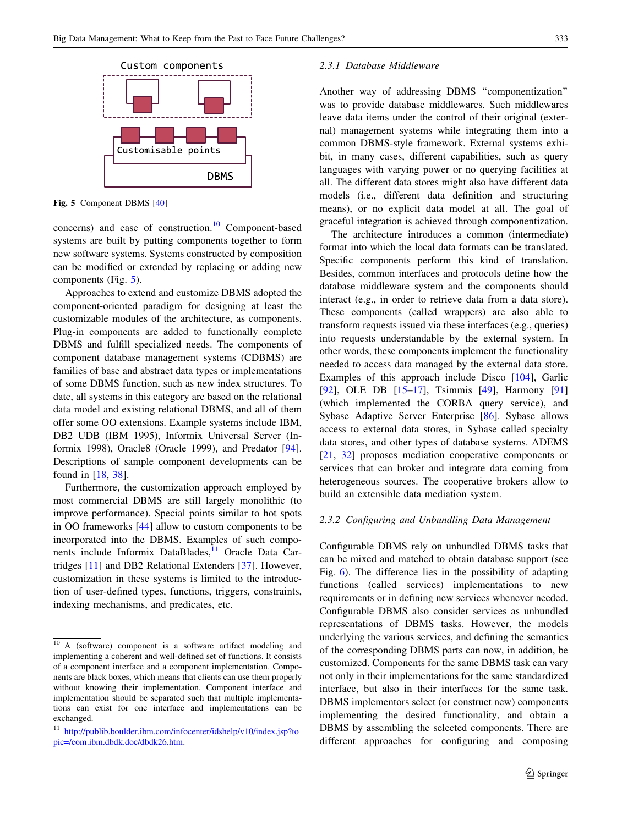

Fig. 5 Component DBMS [\[40\]](#page-15-0)

concerns) and ease of construction. $10$  Component-based systems are built by putting components together to form new software systems. Systems constructed by composition can be modified or extended by replacing or adding new components (Fig. 5).

Approaches to extend and customize DBMS adopted the component-oriented paradigm for designing at least the customizable modules of the architecture, as components. Plug-in components are added to functionally complete DBMS and fulfill specialized needs. The components of component database management systems (CDBMS) are families of base and abstract data types or implementations of some DBMS function, such as new index structures. To date, all systems in this category are based on the relational data model and existing relational DBMS, and all of them offer some OO extensions. Example systems include IBM, DB2 UDB (IBM 1995), Informix Universal Server (Informix 1998), Oracle8 (Oracle 1999), and Predator [\[94](#page-16-0)]. Descriptions of sample component developments can be found in [\[18](#page-15-0), [38\]](#page-15-0).

Furthermore, the customization approach employed by most commercial DBMS are still largely monolithic (to improve performance). Special points similar to hot spots in OO frameworks [\[44](#page-15-0)] allow to custom components to be incorporated into the DBMS. Examples of such components include Informix DataBlades,<sup>11</sup> Oracle Data Cartridges [[11\]](#page-15-0) and DB2 Relational Extenders [\[37](#page-15-0)]. However, customization in these systems is limited to the introduction of user-defined types, functions, triggers, constraints, indexing mechanisms, and predicates, etc.

#### 2.3.1 Database Middleware

Another way of addressing DBMS ''componentization'' was to provide database middlewares. Such middlewares leave data items under the control of their original (external) management systems while integrating them into a common DBMS-style framework. External systems exhibit, in many cases, different capabilities, such as query languages with varying power or no querying facilities at all. The different data stores might also have different data models (i.e., different data definition and structuring means), or no explicit data model at all. The goal of graceful integration is achieved through componentization.

The architecture introduces a common (intermediate) format into which the local data formats can be translated. Specific components perform this kind of translation. Besides, common interfaces and protocols define how the database middleware system and the components should interact (e.g., in order to retrieve data from a data store). These components (called wrappers) are also able to transform requests issued via these interfaces (e.g., queries) into requests understandable by the external system. In other words, these components implement the functionality needed to access data managed by the external data store. Examples of this approach include Disco [\[104](#page-17-0)], Garlic [\[92](#page-16-0)], OLE DB [\[15–17](#page-15-0)], Tsimmis [[49\]](#page-15-0), Harmony [[91\]](#page-16-0) (which implemented the CORBA query service), and Sybase Adaptive Server Enterprise [\[86](#page-16-0)]. Sybase allows access to external data stores, in Sybase called specialty data stores, and other types of database systems. ADEMS [\[21](#page-15-0), [32\]](#page-15-0) proposes mediation cooperative components or services that can broker and integrate data coming from heterogeneous sources. The cooperative brokers allow to build an extensible data mediation system.

#### 2.3.2 Configuring and Unbundling Data Management

Configurable DBMS rely on unbundled DBMS tasks that can be mixed and matched to obtain database support (see Fig. [6](#page-6-0)). The difference lies in the possibility of adapting functions (called services) implementations to new requirements or in defining new services whenever needed. Configurable DBMS also consider services as unbundled representations of DBMS tasks. However, the models underlying the various services, and defining the semantics of the corresponding DBMS parts can now, in addition, be customized. Components for the same DBMS task can vary not only in their implementations for the same standardized interface, but also in their interfaces for the same task. DBMS implementors select (or construct new) components implementing the desired functionality, and obtain a DBMS by assembling the selected components. There are different approaches for configuring and composing

<sup>10</sup> A (software) component is a software artifact modeling and implementing a coherent and well-defined set of functions. It consists of a component interface and a component implementation. Components are black boxes, which means that clients can use them properly without knowing their implementation. Component interface and implementation should be separated such that multiple implementations can exist for one interface and implementations can be exchanged.

<sup>11</sup> [http://publib.boulder.ibm.com/infocenter/idshelp/v10/index.jsp?to](http://publib.boulder.ibm.com/infocenter/idshelp/v10/index.jsp?topic=/com.ibm.dbdk.doc/dbdk26.htm) [pic=/com.ibm.dbdk.doc/dbdk26.htm](http://publib.boulder.ibm.com/infocenter/idshelp/v10/index.jsp?topic=/com.ibm.dbdk.doc/dbdk26.htm).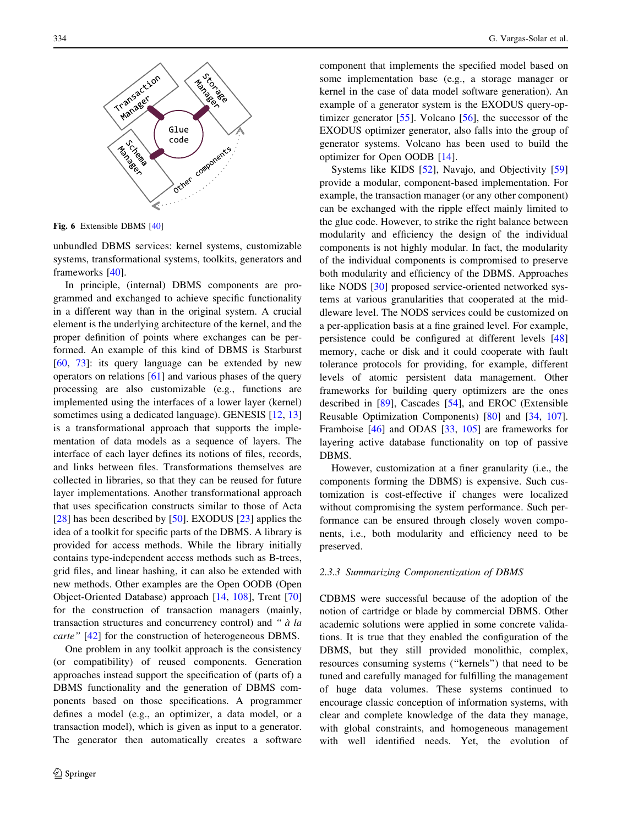<span id="page-6-0"></span>

Fig. 6 Extensible DBMS [\[40\]](#page-15-0)

unbundled DBMS services: kernel systems, customizable systems, transformational systems, toolkits, generators and frameworks [\[40](#page-15-0)].

In principle, (internal) DBMS components are programmed and exchanged to achieve specific functionality in a different way than in the original system. A crucial element is the underlying architecture of the kernel, and the proper definition of points where exchanges can be performed. An example of this kind of DBMS is Starburst [\[60](#page-16-0), [73\]](#page-16-0): its query language can be extended by new operators on relations [[61\]](#page-16-0) and various phases of the query processing are also customizable (e.g., functions are implemented using the interfaces of a lower layer (kernel) sometimes using a dedicated language). GENESIS [[12,](#page-15-0) [13\]](#page-15-0) is a transformational approach that supports the implementation of data models as a sequence of layers. The interface of each layer defines its notions of files, records, and links between files. Transformations themselves are collected in libraries, so that they can be reused for future layer implementations. Another transformational approach that uses specification constructs similar to those of Acta [\[28](#page-15-0)] has been described by [[50\]](#page-16-0). EXODUS [[23\]](#page-15-0) applies the idea of a toolkit for specific parts of the DBMS. A library is provided for access methods. While the library initially contains type-independent access methods such as B-trees, grid files, and linear hashing, it can also be extended with new methods. Other examples are the Open OODB (Open Object-Oriented Database) approach [[14,](#page-15-0) [108\]](#page-17-0), Trent [[70\]](#page-16-0) for the construction of transaction managers (mainly, transaction structures and concurrency control) and " $\dot{a}$  la carte'' [[42\]](#page-15-0) for the construction of heterogeneous DBMS.

One problem in any toolkit approach is the consistency (or compatibility) of reused components. Generation approaches instead support the specification of (parts of) a DBMS functionality and the generation of DBMS components based on those specifications. A programmer defines a model (e.g., an optimizer, a data model, or a transaction model), which is given as input to a generator. The generator then automatically creates a software component that implements the specified model based on some implementation base (e.g., a storage manager or kernel in the case of data model software generation). An example of a generator system is the EXODUS query-optimizer generator [[55\]](#page-16-0). Volcano [\[56](#page-16-0)], the successor of the EXODUS optimizer generator, also falls into the group of generator systems. Volcano has been used to build the optimizer for Open OODB [[14\]](#page-15-0).

Systems like KIDS [[52\]](#page-16-0), Navajo, and Objectivity [[59\]](#page-16-0) provide a modular, component-based implementation. For example, the transaction manager (or any other component) can be exchanged with the ripple effect mainly limited to the glue code. However, to strike the right balance between modularity and efficiency the design of the individual components is not highly modular. In fact, the modularity of the individual components is compromised to preserve both modularity and efficiency of the DBMS. Approaches like NODS [\[30](#page-15-0)] proposed service-oriented networked systems at various granularities that cooperated at the middleware level. The NODS services could be customized on a per-application basis at a fine grained level. For example, persistence could be configured at different levels [[48\]](#page-15-0) memory, cache or disk and it could cooperate with fault tolerance protocols for providing, for example, different levels of atomic persistent data management. Other frameworks for building query optimizers are the ones described in [\[89](#page-16-0)], Cascades [[54\]](#page-16-0), and EROC (Extensible Reusable Optimization Components) [\[80](#page-16-0)] and [\[34](#page-15-0), [107](#page-17-0)]. Framboise [[46\]](#page-15-0) and ODAS [[33,](#page-15-0) [105](#page-17-0)] are frameworks for layering active database functionality on top of passive DBMS.

However, customization at a finer granularity (i.e., the components forming the DBMS) is expensive. Such customization is cost-effective if changes were localized without compromising the system performance. Such performance can be ensured through closely woven components, i.e., both modularity and efficiency need to be preserved.

#### 2.3.3 Summarizing Componentization of DBMS

CDBMS were successful because of the adoption of the notion of cartridge or blade by commercial DBMS. Other academic solutions were applied in some concrete validations. It is true that they enabled the configuration of the DBMS, but they still provided monolithic, complex, resources consuming systems (''kernels'') that need to be tuned and carefully managed for fulfilling the management of huge data volumes. These systems continued to encourage classic conception of information systems, with clear and complete knowledge of the data they manage, with global constraints, and homogeneous management with well identified needs. Yet, the evolution of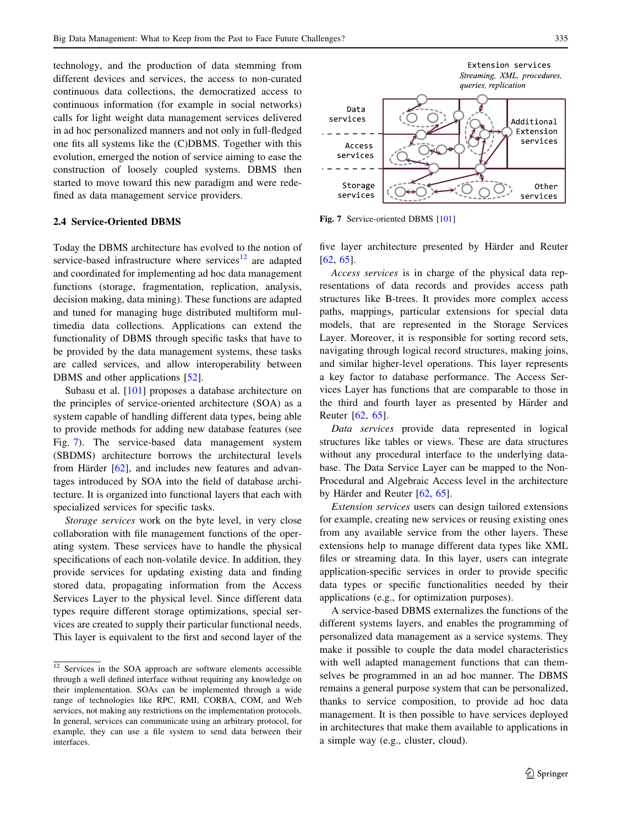technology, and the production of data stemming from different devices and services, the access to non-curated continuous data collections, the democratized access to continuous information (for example in social networks) calls for light weight data management services delivered in ad hoc personalized manners and not only in full-fledged one fits all systems like the (C)DBMS. Together with this evolution, emerged the notion of service aiming to ease the construction of loosely coupled systems. DBMS then started to move toward this new paradigm and were rede-

#### 2.4 Service-Oriented DBMS

fined as data management service providers.

Today the DBMS architecture has evolved to the notion of service-based infrastructure where services $12$  are adapted and coordinated for implementing ad hoc data management functions (storage, fragmentation, replication, analysis, decision making, data mining). These functions are adapted and tuned for managing huge distributed multiform multimedia data collections. Applications can extend the functionality of DBMS through specific tasks that have to be provided by the data management systems, these tasks are called services, and allow interoperability between DBMS and other applications [\[52](#page-16-0)].

Subasu et al. [[101\]](#page-17-0) proposes a database architecture on the principles of service-oriented architecture (SOA) as a system capable of handling different data types, being able to provide methods for adding new database features (see Fig. 7). The service-based data management system (SBDMS) architecture borrows the architectural levels from Härder  $[62]$  $[62]$ , and includes new features and advantages introduced by SOA into the field of database architecture. It is organized into functional layers that each with specialized services for specific tasks.

Storage services work on the byte level, in very close collaboration with file management functions of the operating system. These services have to handle the physical specifications of each non-volatile device. In addition, they provide services for updating existing data and finding stored data, propagating information from the Access Services Layer to the physical level. Since different data types require different storage optimizations, special services are created to supply their particular functional needs. This layer is equivalent to the first and second layer of the



Fig. 7 Service-oriented DBMS [[101\]](#page-17-0)

five layer architecture presented by Härder and Reuter [\[62](#page-16-0), [65](#page-16-0)].

Access services is in charge of the physical data representations of data records and provides access path structures like B-trees. It provides more complex access paths, mappings, particular extensions for special data models, that are represented in the Storage Services Layer. Moreover, it is responsible for sorting record sets, navigating through logical record structures, making joins, and similar higher-level operations. This layer represents a key factor to database performance. The Access Services Layer has functions that are comparable to those in the third and fourth layer as presented by Härder and Reuter [\[62](#page-16-0), [65\]](#page-16-0).

Data services provide data represented in logical structures like tables or views. These are data structures without any procedural interface to the underlying database. The Data Service Layer can be mapped to the Non-Procedural and Algebraic Access level in the architecture by Härder and Reuter  $[62, 65]$  $[62, 65]$  $[62, 65]$  $[62, 65]$  $[62, 65]$ .

Extension services users can design tailored extensions for example, creating new services or reusing existing ones from any available service from the other layers. These extensions help to manage different data types like XML files or streaming data. In this layer, users can integrate application-specific services in order to provide specific data types or specific functionalities needed by their applications (e.g., for optimization purposes).

A service-based DBMS externalizes the functions of the different systems layers, and enables the programming of personalized data management as a service systems. They make it possible to couple the data model characteristics with well adapted management functions that can themselves be programmed in an ad hoc manner. The DBMS remains a general purpose system that can be personalized, thanks to service composition, to provide ad hoc data management. It is then possible to have services deployed in architectures that make them available to applications in a simple way (e.g., cluster, cloud).

 $\frac{12}{12}$  Services in the SOA approach are software elements accessible through a well defined interface without requiring any knowledge on their implementation. SOAs can be implemented through a wide range of technologies like RPC, RMI, CORBA, COM, and Web services, not making any restrictions on the implementation protocols. In general, services can communicate using an arbitrary protocol, for example, they can use a file system to send data between their interfaces.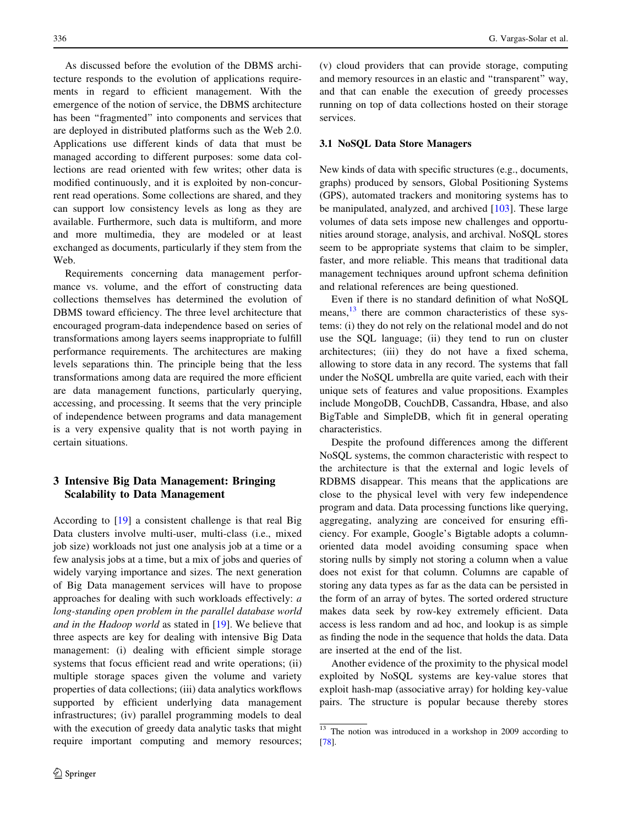<span id="page-8-0"></span>As discussed before the evolution of the DBMS architecture responds to the evolution of applications requirements in regard to efficient management. With the emergence of the notion of service, the DBMS architecture has been "fragmented" into components and services that are deployed in distributed platforms such as the Web 2.0. Applications use different kinds of data that must be managed according to different purposes: some data collections are read oriented with few writes; other data is modified continuously, and it is exploited by non-concurrent read operations. Some collections are shared, and they can support low consistency levels as long as they are available. Furthermore, such data is multiform, and more and more multimedia, they are modeled or at least exchanged as documents, particularly if they stem from the Web.

Requirements concerning data management performance vs. volume, and the effort of constructing data collections themselves has determined the evolution of DBMS toward efficiency. The three level architecture that encouraged program-data independence based on series of transformations among layers seems inappropriate to fulfill performance requirements. The architectures are making levels separations thin. The principle being that the less transformations among data are required the more efficient are data management functions, particularly querying, accessing, and processing. It seems that the very principle of independence between programs and data management is a very expensive quality that is not worth paying in certain situations.

## 3 Intensive Big Data Management: Bringing Scalability to Data Management

According to [[19\]](#page-15-0) a consistent challenge is that real Big Data clusters involve multi-user, multi-class (i.e., mixed job size) workloads not just one analysis job at a time or a few analysis jobs at a time, but a mix of jobs and queries of widely varying importance and sizes. The next generation of Big Data management services will have to propose approaches for dealing with such workloads effectively: a long-standing open problem in the parallel database world and in the Hadoop world as stated in [[19\]](#page-15-0). We believe that three aspects are key for dealing with intensive Big Data management: (i) dealing with efficient simple storage systems that focus efficient read and write operations; (ii) multiple storage spaces given the volume and variety properties of data collections; (iii) data analytics workflows supported by efficient underlying data management infrastructures; (iv) parallel programming models to deal with the execution of greedy data analytic tasks that might require important computing and memory resources; (v) cloud providers that can provide storage, computing and memory resources in an elastic and ''transparent'' way, and that can enable the execution of greedy processes running on top of data collections hosted on their storage services.

## 3.1 NoSQL Data Store Managers

New kinds of data with specific structures (e.g., documents, graphs) produced by sensors, Global Positioning Systems (GPS), automated trackers and monitoring systems has to be manipulated, analyzed, and archived [\[103](#page-17-0)]. These large volumes of data sets impose new challenges and opportunities around storage, analysis, and archival. NoSQL stores seem to be appropriate systems that claim to be simpler, faster, and more reliable. This means that traditional data management techniques around upfront schema definition and relational references are being questioned.

Even if there is no standard definition of what NoSQL means, $13$  there are common characteristics of these systems: (i) they do not rely on the relational model and do not use the SQL language; (ii) they tend to run on cluster architectures; (iii) they do not have a fixed schema, allowing to store data in any record. The systems that fall under the NoSQL umbrella are quite varied, each with their unique sets of features and value propositions. Examples include MongoDB, CouchDB, Cassandra, Hbase, and also BigTable and SimpleDB, which fit in general operating characteristics.

Despite the profound differences among the different NoSQL systems, the common characteristic with respect to the architecture is that the external and logic levels of RDBMS disappear. This means that the applications are close to the physical level with very few independence program and data. Data processing functions like querying, aggregating, analyzing are conceived for ensuring efficiency. For example, Google's Bigtable adopts a columnoriented data model avoiding consuming space when storing nulls by simply not storing a column when a value does not exist for that column. Columns are capable of storing any data types as far as the data can be persisted in the form of an array of bytes. The sorted ordered structure makes data seek by row-key extremely efficient. Data access is less random and ad hoc, and lookup is as simple as finding the node in the sequence that holds the data. Data are inserted at the end of the list.

Another evidence of the proximity to the physical model exploited by NoSQL systems are key-value stores that exploit hash-map (associative array) for holding key-value pairs. The structure is popular because thereby stores

<sup>&</sup>lt;sup>13</sup> The notion was introduced in a workshop in 2009 according to [[78](#page-16-0)].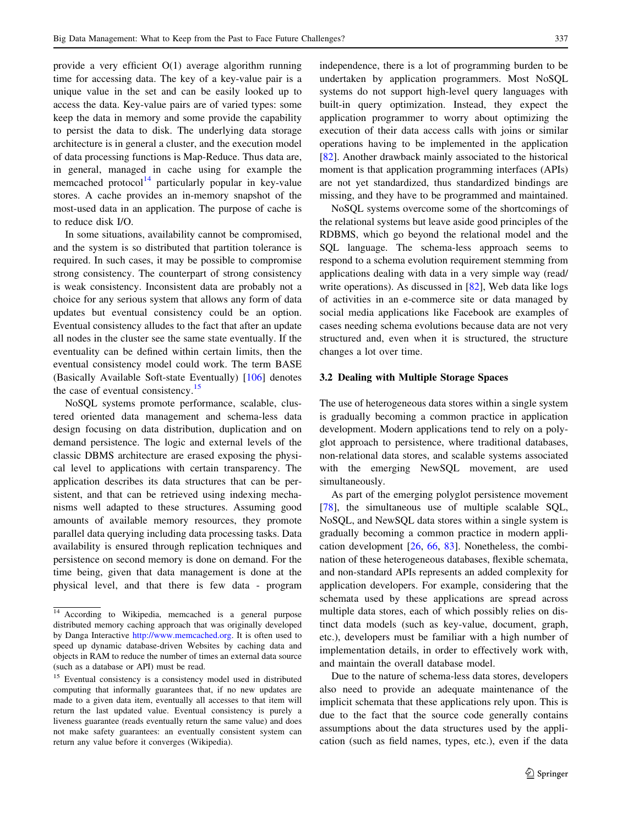provide a very efficient O(1) average algorithm running time for accessing data. The key of a key-value pair is a unique value in the set and can be easily looked up to access the data. Key-value pairs are of varied types: some keep the data in memory and some provide the capability to persist the data to disk. The underlying data storage architecture is in general a cluster, and the execution model of data processing functions is Map-Reduce. Thus data are, in general, managed in cache using for example the memcached protocol<sup>14</sup> particularly popular in key-value stores. A cache provides an in-memory snapshot of the most-used data in an application. The purpose of cache is to reduce disk I/O.

In some situations, availability cannot be compromised, and the system is so distributed that partition tolerance is required. In such cases, it may be possible to compromise strong consistency. The counterpart of strong consistency is weak consistency. Inconsistent data are probably not a choice for any serious system that allows any form of data updates but eventual consistency could be an option. Eventual consistency alludes to the fact that after an update all nodes in the cluster see the same state eventually. If the eventuality can be defined within certain limits, then the eventual consistency model could work. The term BASE (Basically Available Soft-state Eventually) [\[106](#page-17-0)] denotes the case of eventual consistency.<sup>15</sup>

NoSQL systems promote performance, scalable, clustered oriented data management and schema-less data design focusing on data distribution, duplication and on demand persistence. The logic and external levels of the classic DBMS architecture are erased exposing the physical level to applications with certain transparency. The application describes its data structures that can be persistent, and that can be retrieved using indexing mechanisms well adapted to these structures. Assuming good amounts of available memory resources, they promote parallel data querying including data processing tasks. Data availability is ensured through replication techniques and persistence on second memory is done on demand. For the time being, given that data management is done at the physical level, and that there is few data - program independence, there is a lot of programming burden to be undertaken by application programmers. Most NoSQL systems do not support high-level query languages with built-in query optimization. Instead, they expect the application programmer to worry about optimizing the execution of their data access calls with joins or similar operations having to be implemented in the application [\[82](#page-16-0)]. Another drawback mainly associated to the historical moment is that application programming interfaces (APIs) are not yet standardized, thus standardized bindings are missing, and they have to be programmed and maintained.

NoSQL systems overcome some of the shortcomings of the relational systems but leave aside good principles of the RDBMS, which go beyond the relational model and the SQL language. The schema-less approach seems to respond to a schema evolution requirement stemming from applications dealing with data in a very simple way (read/ write operations). As discussed in [\[82](#page-16-0)], Web data like logs of activities in an e-commerce site or data managed by social media applications like Facebook are examples of cases needing schema evolutions because data are not very structured and, even when it is structured, the structure changes a lot over time.

#### 3.2 Dealing with Multiple Storage Spaces

The use of heterogeneous data stores within a single system is gradually becoming a common practice in application development. Modern applications tend to rely on a polyglot approach to persistence, where traditional databases, non-relational data stores, and scalable systems associated with the emerging NewSQL movement, are used simultaneously.

As part of the emerging polyglot persistence movement [\[78](#page-16-0)], the simultaneous use of multiple scalable SQL, NoSQL, and NewSQL data stores within a single system is gradually becoming a common practice in modern application development [\[26](#page-15-0), [66](#page-16-0), [83](#page-16-0)]. Nonetheless, the combination of these heterogeneous databases, flexible schemata, and non-standard APIs represents an added complexity for application developers. For example, considering that the schemata used by these applications are spread across multiple data stores, each of which possibly relies on distinct data models (such as key-value, document, graph, etc.), developers must be familiar with a high number of implementation details, in order to effectively work with, and maintain the overall database model.

Due to the nature of schema-less data stores, developers also need to provide an adequate maintenance of the implicit schemata that these applications rely upon. This is due to the fact that the source code generally contains assumptions about the data structures used by the application (such as field names, types, etc.), even if the data

<sup>14</sup> According to Wikipedia, memcached is a general purpose distributed memory caching approach that was originally developed by Danga Interactive [http://www.memcached.org.](http://www.memcached.org) It is often used to speed up dynamic database-driven Websites by caching data and objects in RAM to reduce the number of times an external data source (such as a database or API) must be read.

<sup>&</sup>lt;sup>15</sup> Eventual consistency is a consistency model used in distributed computing that informally guarantees that, if no new updates are made to a given data item, eventually all accesses to that item will return the last updated value. Eventual consistency is purely a liveness guarantee (reads eventually return the same value) and does not make safety guarantees: an eventually consistent system can return any value before it converges (Wikipedia).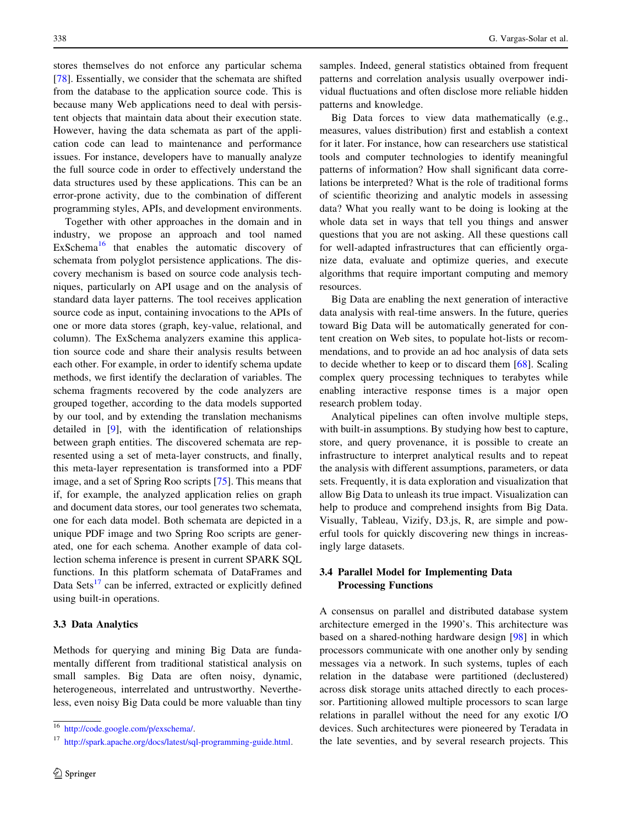stores themselves do not enforce any particular schema [\[78](#page-16-0)]. Essentially, we consider that the schemata are shifted from the database to the application source code. This is because many Web applications need to deal with persistent objects that maintain data about their execution state. However, having the data schemata as part of the application code can lead to maintenance and performance issues. For instance, developers have to manually analyze the full source code in order to effectively understand the data structures used by these applications. This can be an error-prone activity, due to the combination of different programming styles, APIs, and development environments.

Together with other approaches in the domain and in industry, we propose an approach and tool named ExSchema<sup>16</sup> that enables the automatic discovery of schemata from polyglot persistence applications. The discovery mechanism is based on source code analysis techniques, particularly on API usage and on the analysis of standard data layer patterns. The tool receives application source code as input, containing invocations to the APIs of one or more data stores (graph, key-value, relational, and column). The ExSchema analyzers examine this application source code and share their analysis results between each other. For example, in order to identify schema update methods, we first identify the declaration of variables. The schema fragments recovered by the code analyzers are grouped together, according to the data models supported by our tool, and by extending the translation mechanisms detailed in [[9\]](#page-15-0), with the identification of relationships between graph entities. The discovered schemata are represented using a set of meta-layer constructs, and finally, this meta-layer representation is transformed into a PDF image, and a set of Spring Roo scripts [[75\]](#page-16-0). This means that if, for example, the analyzed application relies on graph and document data stores, our tool generates two schemata, one for each data model. Both schemata are depicted in a unique PDF image and two Spring Roo scripts are generated, one for each schema. Another example of data collection schema inference is present in current SPARK SQL functions. In this platform schemata of DataFrames and Data Sets<sup>17</sup> can be inferred, extracted or explicitly defined using built-in operations.

## 3.3 Data Analytics

Methods for querying and mining Big Data are fundamentally different from traditional statistical analysis on small samples. Big Data are often noisy, dynamic, heterogeneous, interrelated and untrustworthy. Nevertheless, even noisy Big Data could be more valuable than tiny

samples. Indeed, general statistics obtained from frequent patterns and correlation analysis usually overpower individual fluctuations and often disclose more reliable hidden patterns and knowledge.

Big Data forces to view data mathematically (e.g., measures, values distribution) first and establish a context for it later. For instance, how can researchers use statistical tools and computer technologies to identify meaningful patterns of information? How shall significant data correlations be interpreted? What is the role of traditional forms of scientific theorizing and analytic models in assessing data? What you really want to be doing is looking at the whole data set in ways that tell you things and answer questions that you are not asking. All these questions call for well-adapted infrastructures that can efficiently organize data, evaluate and optimize queries, and execute algorithms that require important computing and memory resources.

Big Data are enabling the next generation of interactive data analysis with real-time answers. In the future, queries toward Big Data will be automatically generated for content creation on Web sites, to populate hot-lists or recommendations, and to provide an ad hoc analysis of data sets to decide whether to keep or to discard them [\[68](#page-16-0)]. Scaling complex query processing techniques to terabytes while enabling interactive response times is a major open research problem today.

Analytical pipelines can often involve multiple steps, with built-in assumptions. By studying how best to capture, store, and query provenance, it is possible to create an infrastructure to interpret analytical results and to repeat the analysis with different assumptions, parameters, or data sets. Frequently, it is data exploration and visualization that allow Big Data to unleash its true impact. Visualization can help to produce and comprehend insights from Big Data. Visually, Tableau, Vizify, D3.js, R, are simple and powerful tools for quickly discovering new things in increasingly large datasets.

# 3.4 Parallel Model for Implementing Data Processing Functions

A consensus on parallel and distributed database system architecture emerged in the 1990's. This architecture was based on a shared-nothing hardware design [[98\]](#page-17-0) in which processors communicate with one another only by sending messages via a network. In such systems, tuples of each relation in the database were partitioned (declustered) across disk storage units attached directly to each processor. Partitioning allowed multiple processors to scan large relations in parallel without the need for any exotic I/O devices. Such architectures were pioneered by Teradata in the late seventies, and by several research projects. This

<sup>16</sup> [http://code.google.com/p/exschema/.](http://code.google.com/p/exschema/)

<sup>17</sup> [http://spark.apache.org/docs/latest/sql-programming-guide.html.](http://spark.apache.org/docs/latest/sql-programming-guide.html)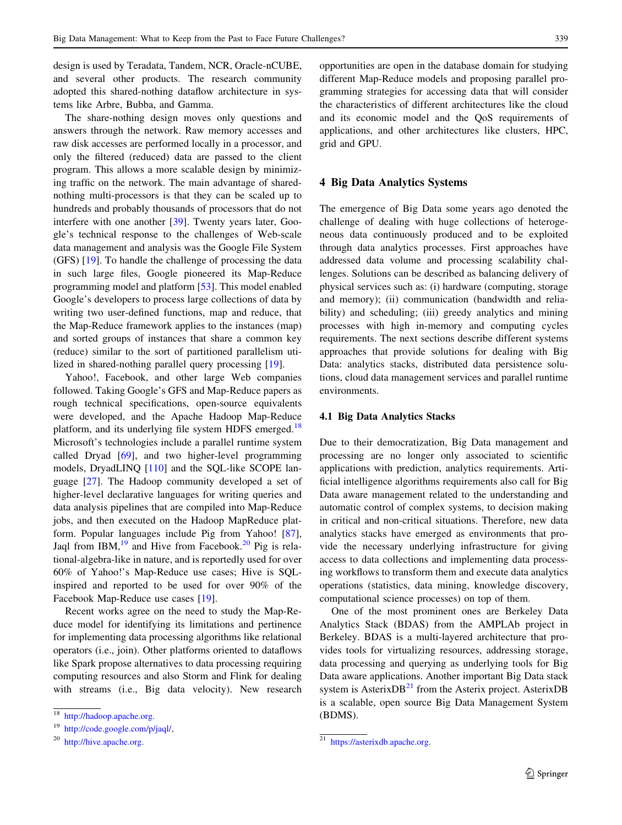<span id="page-11-0"></span>design is used by Teradata, Tandem, NCR, Oracle-nCUBE, and several other products. The research community adopted this shared-nothing dataflow architecture in systems like Arbre, Bubba, and Gamma.

The share-nothing design moves only questions and answers through the network. Raw memory accesses and raw disk accesses are performed locally in a processor, and only the filtered (reduced) data are passed to the client program. This allows a more scalable design by minimizing traffic on the network. The main advantage of sharednothing multi-processors is that they can be scaled up to hundreds and probably thousands of processors that do not interfere with one another [[39\]](#page-15-0). Twenty years later, Google's technical response to the challenges of Web-scale data management and analysis was the Google File System (GFS) [\[19](#page-15-0)]. To handle the challenge of processing the data in such large files, Google pioneered its Map-Reduce programming model and platform [\[53](#page-16-0)]. This model enabled Google's developers to process large collections of data by writing two user-defined functions, map and reduce, that the Map-Reduce framework applies to the instances (map) and sorted groups of instances that share a common key (reduce) similar to the sort of partitioned parallelism utilized in shared-nothing parallel query processing [\[19](#page-15-0)].

Yahoo!, Facebook, and other large Web companies followed. Taking Google's GFS and Map-Reduce papers as rough technical specifications, open-source equivalents were developed, and the Apache Hadoop Map-Reduce platform, and its underlying file system HDFS emerged.<sup>18</sup> Microsoft's technologies include a parallel runtime system called Dryad [[69\]](#page-16-0), and two higher-level programming models, DryadLINQ [[110\]](#page-17-0) and the SQL-like SCOPE language [[27\]](#page-15-0). The Hadoop community developed a set of higher-level declarative languages for writing queries and data analysis pipelines that are compiled into Map-Reduce jobs, and then executed on the Hadoop MapReduce platform. Popular languages include Pig from Yahoo! [\[87](#page-16-0)], Jaql from IBM, $^{19}$  and Hive from Facebook.<sup>20</sup> Pig is relational-algebra-like in nature, and is reportedly used for over 60% of Yahoo!'s Map-Reduce use cases; Hive is SQLinspired and reported to be used for over 90% of the Facebook Map-Reduce use cases [[19\]](#page-15-0).

Recent works agree on the need to study the Map-Reduce model for identifying its limitations and pertinence for implementing data processing algorithms like relational operators (i.e., join). Other platforms oriented to dataflows like Spark propose alternatives to data processing requiring computing resources and also Storm and Flink for dealing with streams (i.e., Big data velocity). New research

opportunities are open in the database domain for studying different Map-Reduce models and proposing parallel programming strategies for accessing data that will consider the characteristics of different architectures like the cloud and its economic model and the QoS requirements of applications, and other architectures like clusters, HPC, grid and GPU.

## 4 Big Data Analytics Systems

The emergence of Big Data some years ago denoted the challenge of dealing with huge collections of heterogeneous data continuously produced and to be exploited through data analytics processes. First approaches have addressed data volume and processing scalability challenges. Solutions can be described as balancing delivery of physical services such as: (i) hardware (computing, storage and memory); (ii) communication (bandwidth and reliability) and scheduling; (iii) greedy analytics and mining processes with high in-memory and computing cycles requirements. The next sections describe different systems approaches that provide solutions for dealing with Big Data: analytics stacks, distributed data persistence solutions, cloud data management services and parallel runtime environments.

#### 4.1 Big Data Analytics Stacks

Due to their democratization, Big Data management and processing are no longer only associated to scientific applications with prediction, analytics requirements. Artificial intelligence algorithms requirements also call for Big Data aware management related to the understanding and automatic control of complex systems, to decision making in critical and non-critical situations. Therefore, new data analytics stacks have emerged as environments that provide the necessary underlying infrastructure for giving access to data collections and implementing data processing workflows to transform them and execute data analytics operations (statistics, data mining, knowledge discovery, computational science processes) on top of them.

One of the most prominent ones are Berkeley Data Analytics Stack (BDAS) from the AMPLAb project in Berkeley. BDAS is a multi-layered architecture that provides tools for virtualizing resources, addressing storage, data processing and querying as underlying tools for Big Data aware applications. Another important Big Data stack system is Asterix $DB<sup>21</sup>$  from the Asterix project. Asterix $DB$ is a scalable, open source Big Data Management System

<sup>&</sup>lt;sup>18</sup> <http://hadoop.apache.org>. (BDMS).

<sup>19</sup> <http://code.google.com/p/jaql/>,

<sup>20</sup> [http://hive.apache.org.](http://hive.apache.org) <sup>21</sup> [https://asterixdb.apache.org.](https://asterixdb.apache.org)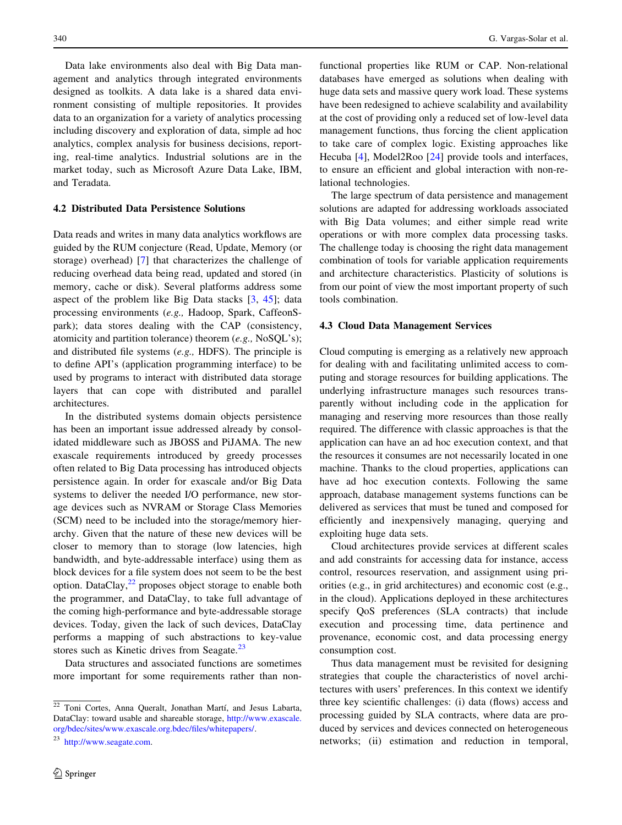Data lake environments also deal with Big Data management and analytics through integrated environments designed as toolkits. A data lake is a shared data environment consisting of multiple repositories. It provides data to an organization for a variety of analytics processing including discovery and exploration of data, simple ad hoc analytics, complex analysis for business decisions, reporting, real-time analytics. Industrial solutions are in the market today, such as Microsoft Azure Data Lake, IBM, and Teradata.

#### 4.2 Distributed Data Persistence Solutions

Data reads and writes in many data analytics workflows are guided by the RUM conjecture (Read, Update, Memory (or storage) overhead) [[7\]](#page-15-0) that characterizes the challenge of reducing overhead data being read, updated and stored (in memory, cache or disk). Several platforms address some aspect of the problem like Big Data stacks [\[3](#page-14-0), [45\]](#page-15-0); data processing environments (e.g., Hadoop, Spark, CaffeonSpark); data stores dealing with the CAP (consistency, atomicity and partition tolerance) theorem (e.g., NoSQL's); and distributed file systems (e.g., HDFS). The principle is to define API's (application programming interface) to be used by programs to interact with distributed data storage layers that can cope with distributed and parallel architectures.

In the distributed systems domain objects persistence has been an important issue addressed already by consolidated middleware such as JBOSS and PiJAMA. The new exascale requirements introduced by greedy processes often related to Big Data processing has introduced objects persistence again. In order for exascale and/or Big Data systems to deliver the needed I/O performance, new storage devices such as NVRAM or Storage Class Memories (SCM) need to be included into the storage/memory hierarchy. Given that the nature of these new devices will be closer to memory than to storage (low latencies, high bandwidth, and byte-addressable interface) using them as block devices for a file system does not seem to be the best option. DataClay,<sup>22</sup> proposes object storage to enable both the programmer, and DataClay, to take full advantage of the coming high-performance and byte-addressable storage devices. Today, given the lack of such devices, DataClay performs a mapping of such abstractions to key-value stores such as Kinetic drives from Seagate. $^{23}$ 

Data structures and associated functions are sometimes more important for some requirements rather than nonfunctional properties like RUM or CAP. Non-relational databases have emerged as solutions when dealing with huge data sets and massive query work load. These systems have been redesigned to achieve scalability and availability at the cost of providing only a reduced set of low-level data management functions, thus forcing the client application to take care of complex logic. Existing approaches like Hecuba [\[4](#page-14-0)], Model2Roo [[24\]](#page-15-0) provide tools and interfaces, to ensure an efficient and global interaction with non-relational technologies.

The large spectrum of data persistence and management solutions are adapted for addressing workloads associated with Big Data volumes; and either simple read write operations or with more complex data processing tasks. The challenge today is choosing the right data management combination of tools for variable application requirements and architecture characteristics. Plasticity of solutions is from our point of view the most important property of such tools combination.

#### 4.3 Cloud Data Management Services

Cloud computing is emerging as a relatively new approach for dealing with and facilitating unlimited access to computing and storage resources for building applications. The underlying infrastructure manages such resources transparently without including code in the application for managing and reserving more resources than those really required. The difference with classic approaches is that the application can have an ad hoc execution context, and that the resources it consumes are not necessarily located in one machine. Thanks to the cloud properties, applications can have ad hoc execution contexts. Following the same approach, database management systems functions can be delivered as services that must be tuned and composed for efficiently and inexpensively managing, querying and exploiting huge data sets.

Cloud architectures provide services at different scales and add constraints for accessing data for instance, access control, resources reservation, and assignment using priorities (e.g., in grid architectures) and economic cost (e.g., in the cloud). Applications deployed in these architectures specify QoS preferences (SLA contracts) that include execution and processing time, data pertinence and provenance, economic cost, and data processing energy consumption cost.

Thus data management must be revisited for designing strategies that couple the characteristics of novel architectures with users' preferences. In this context we identify three key scientific challenges: (i) data (flows) access and processing guided by SLA contracts, where data are produced by services and devices connected on heterogeneous networks; (ii) estimation and reduction in temporal,

<sup>&</sup>lt;sup>22</sup> Toni Cortes, Anna Queralt, Jonathan Martí, and Jesus Labarta, DataClay: toward usable and shareable storage, [http://www.exascale.](http://www.exascale.org/bdec/sites/www.exascale.org.bdec/files/whitepapers/) [org/bdec/sites/www.exascale.org.bdec/files/whitepapers/.](http://www.exascale.org/bdec/sites/www.exascale.org.bdec/files/whitepapers/)

<sup>23</sup> <http://www.seagate.com>.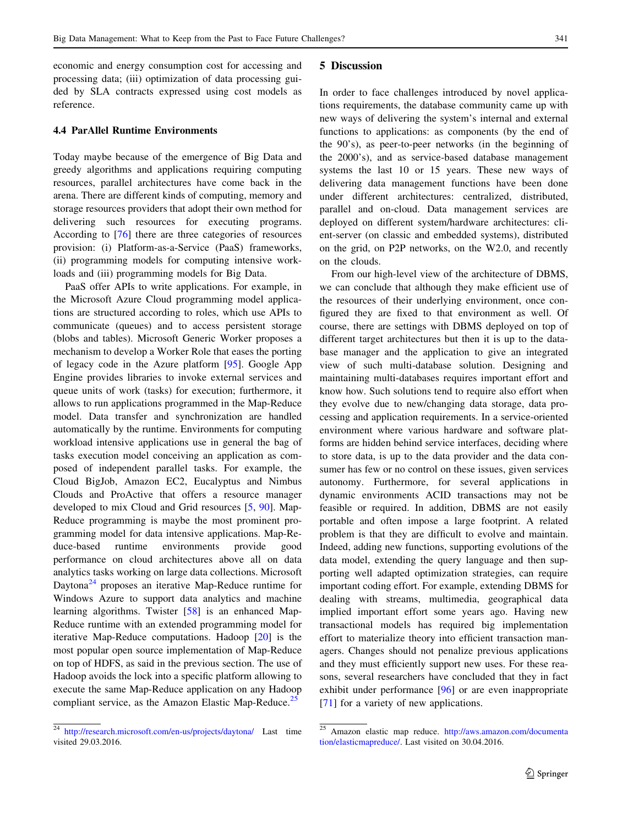<span id="page-13-0"></span>economic and energy consumption cost for accessing and processing data; (iii) optimization of data processing guided by SLA contracts expressed using cost models as reference.

## 4.4 ParAllel Runtime Environments

Today maybe because of the emergence of Big Data and greedy algorithms and applications requiring computing resources, parallel architectures have come back in the arena. There are different kinds of computing, memory and storage resources providers that adopt their own method for delivering such resources for executing programs. According to [\[76](#page-16-0)] there are three categories of resources provision: (i) Platform-as-a-Service (PaaS) frameworks, (ii) programming models for computing intensive workloads and (iii) programming models for Big Data.

PaaS offer APIs to write applications. For example, in the Microsoft Azure Cloud programming model applications are structured according to roles, which use APIs to communicate (queues) and to access persistent storage (blobs and tables). Microsoft Generic Worker proposes a mechanism to develop a Worker Role that eases the porting of legacy code in the Azure platform [[95\]](#page-16-0). Google App Engine provides libraries to invoke external services and queue units of work (tasks) for execution; furthermore, it allows to run applications programmed in the Map-Reduce model. Data transfer and synchronization are handled automatically by the runtime. Environments for computing workload intensive applications use in general the bag of tasks execution model conceiving an application as composed of independent parallel tasks. For example, the Cloud BigJob, Amazon EC2, Eucalyptus and Nimbus Clouds and ProActive that offers a resource manager developed to mix Cloud and Grid resources [\[5](#page-14-0), [90](#page-16-0)]. Map-Reduce programming is maybe the most prominent programming model for data intensive applications. Map-Reduce-based runtime environments provide good performance on cloud architectures above all on data analytics tasks working on large data collections. Microsoft Daytona<sup>24</sup> proposes an iterative Map-Reduce runtime for Windows Azure to support data analytics and machine learning algorithms. Twister [\[58](#page-16-0)] is an enhanced Map-Reduce runtime with an extended programming model for iterative Map-Reduce computations. Hadoop [[20\]](#page-15-0) is the most popular open source implementation of Map-Reduce on top of HDFS, as said in the previous section. The use of Hadoop avoids the lock into a specific platform allowing to execute the same Map-Reduce application on any Hadoop compliant service, as the Amazon Elastic Map-Reduce.<sup>25</sup>

#### 5 Discussion

In order to face challenges introduced by novel applications requirements, the database community came up with new ways of delivering the system's internal and external functions to applications: as components (by the end of the 90's), as peer-to-peer networks (in the beginning of the 2000's), and as service-based database management systems the last 10 or 15 years. These new ways of delivering data management functions have been done under different architectures: centralized, distributed, parallel and on-cloud. Data management services are deployed on different system/hardware architectures: client-server (on classic and embedded systems), distributed on the grid, on P2P networks, on the W2.0, and recently on the clouds.

From our high-level view of the architecture of DBMS, we can conclude that although they make efficient use of the resources of their underlying environment, once configured they are fixed to that environment as well. Of course, there are settings with DBMS deployed on top of different target architectures but then it is up to the database manager and the application to give an integrated view of such multi-database solution. Designing and maintaining multi-databases requires important effort and know how. Such solutions tend to require also effort when they evolve due to new/changing data storage, data processing and application requirements. In a service-oriented environment where various hardware and software platforms are hidden behind service interfaces, deciding where to store data, is up to the data provider and the data consumer has few or no control on these issues, given services autonomy. Furthermore, for several applications in dynamic environments ACID transactions may not be feasible or required. In addition, DBMS are not easily portable and often impose a large footprint. A related problem is that they are difficult to evolve and maintain. Indeed, adding new functions, supporting evolutions of the data model, extending the query language and then supporting well adapted optimization strategies, can require important coding effort. For example, extending DBMS for dealing with streams, multimedia, geographical data implied important effort some years ago. Having new transactional models has required big implementation effort to materialize theory into efficient transaction managers. Changes should not penalize previous applications and they must efficiently support new uses. For these reasons, several researchers have concluded that they in fact exhibit under performance [\[96](#page-17-0)] or are even inappropriate [\[71](#page-16-0)] for a variety of new applications.

<sup>24</sup> <http://research.microsoft.com/en-us/projects/daytona/> Last time visited 29.03.2016.

<sup>25</sup> Amazon elastic map reduce. [http://aws.amazon.com/documenta](http://aws.amazon.com/documentation/elasticmapreduce/) [tion/elasticmapreduce/](http://aws.amazon.com/documentation/elasticmapreduce/). Last visited on 30.04.2016.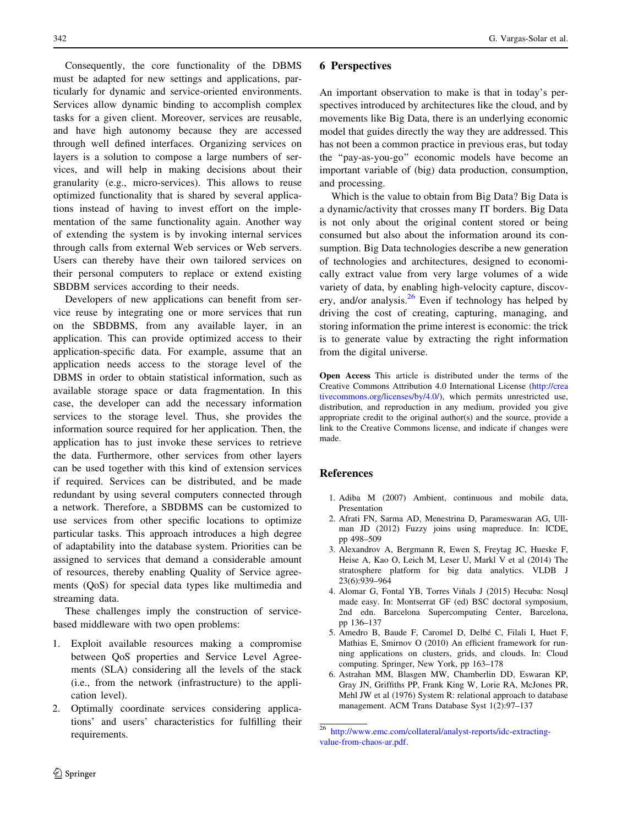<span id="page-14-0"></span>Consequently, the core functionality of the DBMS must be adapted for new settings and applications, particularly for dynamic and service-oriented environments. Services allow dynamic binding to accomplish complex tasks for a given client. Moreover, services are reusable, and have high autonomy because they are accessed through well defined interfaces. Organizing services on layers is a solution to compose a large numbers of services, and will help in making decisions about their granularity (e.g., micro-services). This allows to reuse optimized functionality that is shared by several applications instead of having to invest effort on the implementation of the same functionality again. Another way of extending the system is by invoking internal services through calls from external Web services or Web servers. Users can thereby have their own tailored services on their personal computers to replace or extend existing SBDBM services according to their needs.

Developers of new applications can benefit from service reuse by integrating one or more services that run on the SBDBMS, from any available layer, in an application. This can provide optimized access to their application-specific data. For example, assume that an application needs access to the storage level of the DBMS in order to obtain statistical information, such as available storage space or data fragmentation. In this case, the developer can add the necessary information services to the storage level. Thus, she provides the information source required for her application. Then, the application has to just invoke these services to retrieve the data. Furthermore, other services from other layers can be used together with this kind of extension services if required. Services can be distributed, and be made redundant by using several computers connected through a network. Therefore, a SBDBMS can be customized to use services from other specific locations to optimize particular tasks. This approach introduces a high degree of adaptability into the database system. Priorities can be assigned to services that demand a considerable amount of resources, thereby enabling Quality of Service agreements (QoS) for special data types like multimedia and streaming data.

These challenges imply the construction of servicebased middleware with two open problems:

- 1. Exploit available resources making a compromise between QoS properties and Service Level Agreements (SLA) considering all the levels of the stack (i.e., from the network (infrastructure) to the application level).
- 2. Optimally coordinate services considering applications' and users' characteristics for fulfilling their requirements.

## 6 Perspectives

An important observation to make is that in today's perspectives introduced by architectures like the cloud, and by movements like Big Data, there is an underlying economic model that guides directly the way they are addressed. This has not been a common practice in previous eras, but today the ''pay-as-you-go'' economic models have become an important variable of (big) data production, consumption, and processing.

Which is the value to obtain from Big Data? Big Data is a dynamic/activity that crosses many IT borders. Big Data is not only about the original content stored or being consumed but also about the information around its consumption. Big Data technologies describe a new generation of technologies and architectures, designed to economically extract value from very large volumes of a wide variety of data, by enabling high-velocity capture, discovery, and/or analysis. $26$  Even if technology has helped by driving the cost of creating, capturing, managing, and storing information the prime interest is economic: the trick is to generate value by extracting the right information from the digital universe.

Open Access This article is distributed under the terms of the Creative Commons Attribution 4.0 International License ([http://crea](http://creativecommons.org/licenses/by/4.0/) [tivecommons.org/licenses/by/4.0/\)](http://creativecommons.org/licenses/by/4.0/), which permits unrestricted use, distribution, and reproduction in any medium, provided you give appropriate credit to the original author(s) and the source, provide a link to the Creative Commons license, and indicate if changes were made.

#### References

- 1. Adiba M (2007) Ambient, continuous and mobile data, Presentation
- 2. Afrati FN, Sarma AD, Menestrina D, Parameswaran AG, Ullman JD (2012) Fuzzy joins using mapreduce. In: ICDE, pp 498–509
- 3. Alexandrov A, Bergmann R, Ewen S, Freytag JC, Hueske F, Heise A, Kao O, Leich M, Leser U, Markl V et al (2014) The stratosphere platform for big data analytics. VLDB J 23(6):939–964
- 4. Alomar G, Fontal YB, Torres Viñals J (2015) Hecuba: Nosql made easy. In: Montserrat GF (ed) BSC doctoral symposium, 2nd edn. Barcelona Supercomputing Center, Barcelona, pp 136–137
- 5. Amedro B, Baude F, Caromel D, Delbé C, Filali I, Huet F, Mathias E, Smirnov O (2010) An efficient framework for running applications on clusters, grids, and clouds. In: Cloud computing. Springer, New York, pp 163–178
- 6. Astrahan MM, Blasgen MW, Chamberlin DD, Eswaran KP, Gray JN, Griffiths PP, Frank King W, Lorie RA, McJones PR, Mehl JW et al (1976) System R: relational approach to database management. ACM Trans Database Syst 1(2):97–137

<sup>26</sup> [http://www.emc.com/collateral/analyst-reports/idc-extracting](http://www.emc.com/collateral/analyst-reports/idc-extracting-value-from-chaos-ar.pdf)[value-from-chaos-ar.pdf.](http://www.emc.com/collateral/analyst-reports/idc-extracting-value-from-chaos-ar.pdf)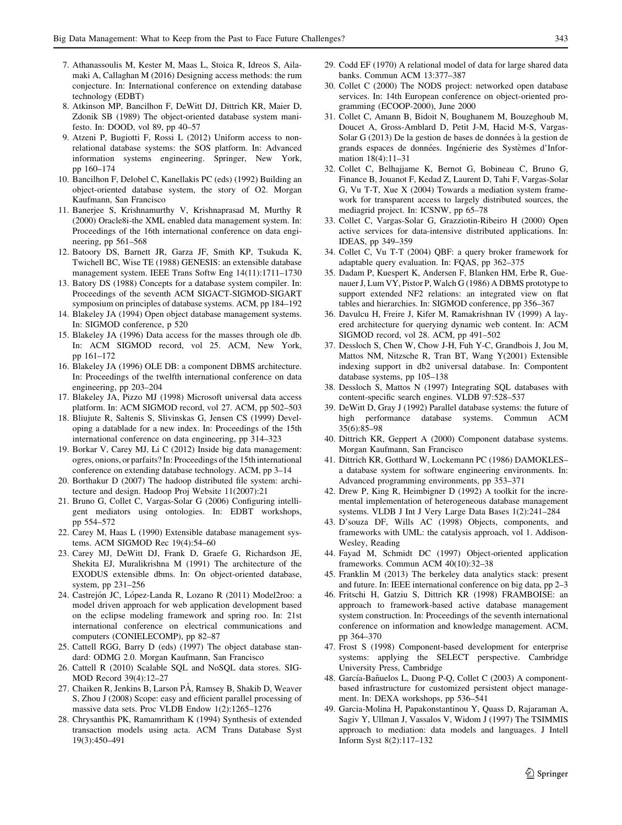- <span id="page-15-0"></span>7. Athanassoulis M, Kester M, Maas L, Stoica R, Idreos S, Ailamaki A, Callaghan M (2016) Designing access methods: the rum conjecture. In: International conference on extending database technology (EDBT)
- 8. Atkinson MP, Bancilhon F, DeWitt DJ, Dittrich KR, Maier D, Zdonik SB (1989) The object-oriented database system manifesto. In: DOOD, vol 89, pp 40–57
- 9. Atzeni P, Bugiotti F, Rossi L (2012) Uniform access to nonrelational database systems: the SOS platform. In: Advanced information systems engineering. Springer, New York, pp 160–174
- 10. Bancilhon F, Delobel C, Kanellakis PC (eds) (1992) Building an object-oriented database system, the story of O2. Morgan Kaufmann, San Francisco
- 11. Banerjee S, Krishnamurthy V, Krishnaprasad M, Murthy R (2000) Oracle8i-the XML enabled data management system. In: Proceedings of the 16th international conference on data engineering, pp 561–568
- 12. Batoory DS, Barnett JR, Garza JF, Smith KP, Tsukuda K, Twichell BC, Wise TE (1988) GENESIS: an extensible database management system. IEEE Trans Softw Eng 14(11):1711–1730
- 13. Batory DS (1988) Concepts for a database system compiler. In: Proceedings of the seventh ACM SIGACT-SIGMOD-SIGART symposium on principles of database systems. ACM, pp 184–192
- 14. Blakeley JA (1994) Open object database management systems. In: SIGMOD conference, p 520
- 15. Blakeley JA (1996) Data access for the masses through ole db. In: ACM SIGMOD record, vol 25. ACM, New York, pp 161–172
- 16. Blakeley JA (1996) OLE DB: a component DBMS architecture. In: Proceedings of the twelfth international conference on data engineering, pp 203–204
- 17. Blakeley JA, Pizzo MJ (1998) Microsoft universal data access platform. In: ACM SIGMOD record, vol 27. ACM, pp 502–503
- 18. Bliujute R, Saltenis S, Slivinskas G, Jensen CS (1999) Developing a datablade for a new index. In: Proceedings of the 15th international conference on data engineering, pp 314–323
- 19. Borkar V, Carey MJ, Li C (2012) Inside big data management: ogres, onions, or parfaits? In: Proceedings of the 15th international conference on extending database technology. ACM, pp 3–14
- 20. Borthakur D (2007) The hadoop distributed file system: architecture and design. Hadoop Proj Website 11(2007):21
- 21. Bruno G, Collet C, Vargas-Solar G (2006) Configuring intelligent mediators using ontologies. In: EDBT workshops, pp 554–572
- 22. Carey M, Haas L (1990) Extensible database management systems. ACM SIGMOD Rec 19(4):54–60
- 23. Carey MJ, DeWitt DJ, Frank D, Graefe G, Richardson JE, Shekita EJ, Muralikrishna M (1991) The architecture of the EXODUS extensible dbms. In: On object-oriented database, system, pp 231–256
- 24. Castrejón JC, López-Landa R, Lozano R (2011) Model2roo: a model driven approach for web application development based on the eclipse modeling framework and spring roo. In: 21st international conference on electrical communications and computers (CONIELECOMP), pp 82–87
- 25. Cattell RGG, Barry D (eds) (1997) The object database standard: ODMG 2.0. Morgan Kaufmann, San Francisco
- 26. Cattell R (2010) Scalable SQL and NoSQL data stores. SIG-MOD Record 39(4):12–27
- 27. Chaiken R, Jenkins B, Larson PÅ, Ramsey B, Shakib D, Weaver S, Zhou J (2008) Scope: easy and efficient parallel processing of massive data sets. Proc VLDB Endow 1(2):1265–1276
- 28. Chrysanthis PK, Ramamritham K (1994) Synthesis of extended transaction models using acta. ACM Trans Database Syst 19(3):450–491
- 29. Codd EF (1970) A relational model of data for large shared data banks. Commun ACM 13:377–387
- 30. Collet C (2000) The NODS project: networked open database services. In: 14th European conference on object-oriented programming (ECOOP-2000), June 2000
- 31. Collet C, Amann B, Bidoit N, Boughanem M, Bouzeghoub M, Doucet A, Gross-Amblard D, Petit J-M, Hacid M-S, Vargas-Solar G (2013) De la gestion de bases de données à la gestion de grands espaces de données. Ingénierie des Systèmes d'Information 18(4):11–31
- 32. Collet C, Belhajjame K, Bernot G, Bobineau C, Bruno G, Finance B, Jouanot F, Kedad Z, Laurent D, Tahi F, Vargas-Solar G, Vu T-T, Xue X (2004) Towards a mediation system framework for transparent access to largely distributed sources, the mediagrid project. In: ICSNW, pp 65–78
- 33. Collet C, Vargas-Solar G, Grazziotin-Ribeiro H (2000) Open active services for data-intensive distributed applications. In: IDEAS, pp 349–359
- 34. Collet C, Vu T-T (2004) QBF: a query broker framework for adaptable query evaluation. In: FQAS, pp 362–375
- 35. Dadam P, Kuespert K, Andersen F, Blanken HM, Erbe R, Guenauer J, Lum VY, Pistor P, Walch G (1986) A DBMS prototype to support extended NF2 relations: an integrated view on flat tables and hierarchies. In: SIGMOD conference, pp 356–367
- 36. Davulcu H, Freire J, Kifer M, Ramakrishnan IV (1999) A layered architecture for querying dynamic web content. In: ACM SIGMOD record, vol 28. ACM, pp 491–502
- 37. Dessloch S, Chen W, Chow J-H, Fuh Y-C, Grandbois J, Jou M, Mattos NM, Nitzsche R, Tran BT, Wang Y(2001) Extensible indexing support in db2 universal database. In: Compontent database systems, pp 105–138
- 38. Dessloch S, Mattos N (1997) Integrating SQL databases with content-specific search engines. VLDB 97:528–537
- 39. DeWitt D, Gray J (1992) Parallel database systems: the future of high performance database systems. Commun ACM 35(6):85–98
- 40. Dittrich KR, Geppert A (2000) Component database systems. Morgan Kaufmann, San Francisco
- 41. Dittrich KR, Gotthard W, Lockemann PC (1986) DAMOKLES– a database system for software engineering environments. In: Advanced programming environments, pp 353–371
- 42. Drew P, King R, Heimbigner D (1992) A toolkit for the incremental implementation of heterogeneous database management systems. VLDB J Int J Very Large Data Bases 1(2):241–284
- 43. D'souza DF, Wills AC (1998) Objects, components, and frameworks with UML: the catalysis approach, vol 1. Addison-Wesley, Reading
- 44. Fayad M, Schmidt DC (1997) Object-oriented application frameworks. Commun ACM 40(10):32–38
- 45. Franklin M (2013) The berkeley data analytics stack: present and future. In: IEEE international conference on big data, pp 2–3
- 46. Fritschi H, Gatziu S, Dittrich KR (1998) FRAMBOISE: an approach to framework-based active database management system construction. In: Proceedings of the seventh international conference on information and knowledge management. ACM, pp 364–370
- 47. Frost S (1998) Component-based development for enterprise systems: applying the SELECT perspective. Cambridge University Press, Cambridge
- 48. García-Bañuelos L, Duong P-Q, Collet C (2003) A componentbased infrastructure for customized persistent object management. In: DEXA workshops, pp 536–541
- 49. Garcia-Molina H, Papakonstantinou Y, Quass D, Rajaraman A, Sagiv Y, Ullman J, Vassalos V, Widom J (1997) The TSIMMIS approach to mediation: data models and languages. J Intell Inform Syst 8(2):117–132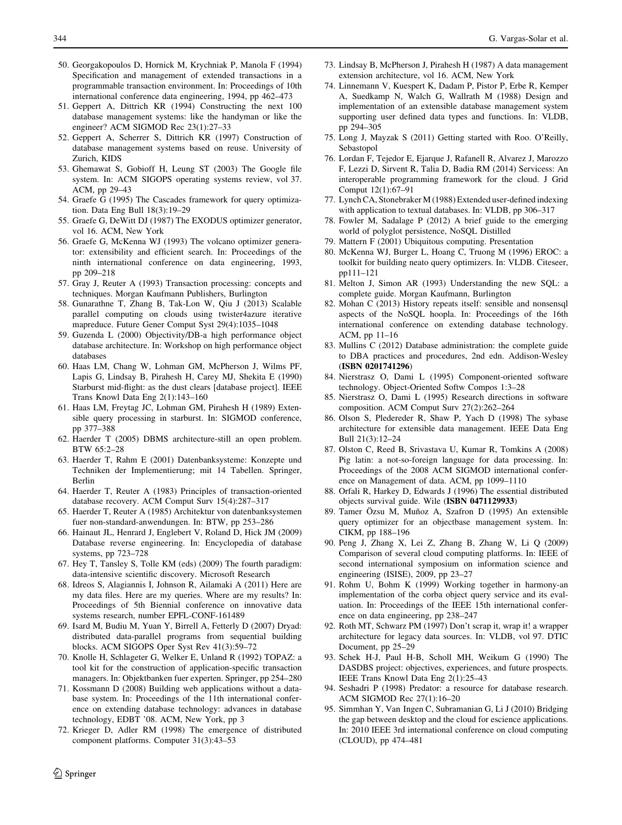- <span id="page-16-0"></span>50. Georgakopoulos D, Hornick M, Krychniak P, Manola F (1994) Specification and management of extended transactions in a programmable transaction environment. In: Proceedings of 10th international conference data engineering, 1994, pp 462–473
- 51. Geppert A, Dittrich KR (1994) Constructing the next 100 database management systems: like the handyman or like the engineer? ACM SIGMOD Rec 23(1):27–33
- 52. Geppert A, Scherrer S, Dittrich KR (1997) Construction of database management systems based on reuse. University of Zurich, KIDS
- 53. Ghemawat S, Gobioff H, Leung ST (2003) The Google file system. In: ACM SIGOPS operating systems review, vol 37. ACM, pp 29–43
- 54. Graefe G (1995) The Cascades framework for query optimization. Data Eng Bull 18(3):19–29
- 55. Graefe G, DeWitt DJ (1987) The EXODUS optimizer generator, vol 16. ACM, New York
- 56. Graefe G, McKenna WJ (1993) The volcano optimizer generator: extensibility and efficient search. In: Proceedings of the ninth international conference on data engineering, 1993, pp 209–218
- 57. Gray J, Reuter A (1993) Transaction processing: concepts and techniques. Morgan Kaufmann Publishers, Burlington
- 58. Gunarathne T, Zhang B, Tak-Lon W, Qiu J (2013) Scalable parallel computing on clouds using twister4azure iterative mapreduce. Future Gener Comput Syst 29(4):1035–1048
- 59. Guzenda L (2000) Objectivity/DB-a high performance object database architecture. In: Workshop on high performance object databases
- 60. Haas LM, Chang W, Lohman GM, McPherson J, Wilms PF, Lapis G, Lindsay B, Pirahesh H, Carey MJ, Shekita E (1990) Starburst mid-flight: as the dust clears [database project]. IEEE Trans Knowl Data Eng 2(1):143–160
- 61. Haas LM, Freytag JC, Lohman GM, Pirahesh H (1989) Extensible query processing in starburst. In: SIGMOD conference, pp 377–388
- 62. Haerder T (2005) DBMS architecture-still an open problem. BTW 65:2–28
- 63. Haerder T, Rahm E (2001) Datenbanksysteme: Konzepte und Techniken der Implementierung; mit 14 Tabellen. Springer, Berlin
- 64. Haerder T, Reuter A (1983) Principles of transaction-oriented database recovery. ACM Comput Surv 15(4):287–317
- 65. Haerder T, Reuter A (1985) Architektur von datenbanksystemen fuer non-standard-anwendungen. In: BTW, pp 253–286
- 66. Hainaut JL, Henrard J, Englebert V, Roland D, Hick JM (2009) Database reverse engineering. In: Encyclopedia of database systems, pp 723–728
- 67. Hey T, Tansley S, Tolle KM (eds) (2009) The fourth paradigm: data-intensive scientific discovery. Microsoft Research
- 68. Idreos S, Alagiannis I, Johnson R, Ailamaki A (2011) Here are my data files. Here are my queries. Where are my results? In: Proceedings of 5th Biennial conference on innovative data systems research, number EPFL-CONF-161489
- 69. Isard M, Budiu M, Yuan Y, Birrell A, Fetterly D (2007) Dryad: distributed data-parallel programs from sequential building blocks. ACM SIGOPS Oper Syst Rev 41(3):59–72
- 70. Knolle H, Schlageter G, Welker E, Unland R (1992) TOPAZ: a tool kit for the construction of application-specific transaction managers. In: Objektbanken fuer experten. Springer, pp 254–280
- 71. Kossmann D (2008) Building web applications without a database system. In: Proceedings of the 11th international conference on extending database technology: advances in database technology, EDBT '08. ACM, New York, pp 3
- 72. Krieger D, Adler RM (1998) The emergence of distributed component platforms. Computer 31(3):43–53
- 73. Lindsay B, McPherson J, Pirahesh H (1987) A data management extension architecture, vol 16. ACM, New York
- 74. Linnemann V, Kuespert K, Dadam P, Pistor P, Erbe R, Kemper A, Suedkamp N, Walch G, Wallrath M (1988) Design and implementation of an extensible database management system supporting user defined data types and functions. In: VLDB, pp 294–305
- 75. Long J, Mayzak S (2011) Getting started with Roo. O'Reilly, Sebastopol
- 76. Lordan F, Tejedor E, Ejarque J, Rafanell R, Alvarez J, Marozzo F, Lezzi D, Sirvent R, Talia D, Badia RM (2014) Servicess: An interoperable programming framework for the cloud. J Grid Comput 12(1):67–91
- 77. Lynch CA, Stonebraker M (1988) Extended user-defined indexing with application to textual databases. In: VLDB, pp 306–317
- 78. Fowler M, Sadalage P (2012) A brief guide to the emerging world of polyglot persistence, NoSQL Distilled
- 79. Mattern F (2001) Ubiquitous computing. Presentation
- 80. McKenna WJ, Burger L, Hoang C, Truong M (1996) EROC: a toolkit for building neato query optimizers. In: VLDB. Citeseer, pp111–121
- 81. Melton J, Simon AR (1993) Understanding the new SQL: a complete guide. Morgan Kaufmann, Burlington
- 82. Mohan C (2013) History repeats itself: sensible and nonsensql aspects of the NoSQL hoopla. In: Proceedings of the 16th international conference on extending database technology. ACM, pp 11–16
- 83. Mullins C (2012) Database administration: the complete guide to DBA practices and procedures, 2nd edn. Addison-Wesley (ISBN 0201741296)
- 84. Nierstrasz O, Dami L (1995) Component-oriented software technology. Object-Oriented Softw Compos 1:3–28
- 85. Nierstrasz O, Dami L (1995) Research directions in software composition. ACM Comput Surv 27(2):262–264
- 86. Olson S, Pledereder R, Shaw P, Yach D (1998) The sybase architecture for extensible data management. IEEE Data Eng Bull 21(3):12–24
- 87. Olston C, Reed B, Srivastava U, Kumar R, Tomkins A (2008) Pig latin: a not-so-foreign language for data processing. In: Proceedings of the 2008 ACM SIGMOD international conference on Management of data. ACM, pp 1099–1110
- 88. Orfali R, Harkey D, Edwards J (1996) The essential distributed objects survival guide. Wile (ISBN 0471129933)
- 89. Tamer Özsu M, Muñoz A, Szafron D (1995) An extensible query optimizer for an objectbase management system. In: CIKM, pp 188–196
- 90. Peng J, Zhang X, Lei Z, Zhang B, Zhang W, Li Q (2009) Comparison of several cloud computing platforms. In: IEEE of second international symposium on information science and engineering (ISISE), 2009, pp 23–27
- 91. Rohm U, Bohm K (1999) Working together in harmony-an implementation of the corba object query service and its evaluation. In: Proceedings of the IEEE 15th international conference on data engineering, pp 238–247
- 92. Roth MT, Schwarz PM (1997) Don't scrap it, wrap it! a wrapper architecture for legacy data sources. In: VLDB, vol 97. DTIC Document, pp 25–29
- 93. Schek H-J, Paul H-B, Scholl MH, Weikum G (1990) The DASDBS project: objectives, experiences, and future prospects. IEEE Trans Knowl Data Eng 2(1):25–43
- 94. Seshadri P (1998) Predator: a resource for database research. ACM SIGMOD Rec 27(1):16–20
- 95. Simmhan Y, Van Ingen C, Subramanian G, Li J (2010) Bridging the gap between desktop and the cloud for escience applications. In: 2010 IEEE 3rd international conference on cloud computing (CLOUD), pp 474–481